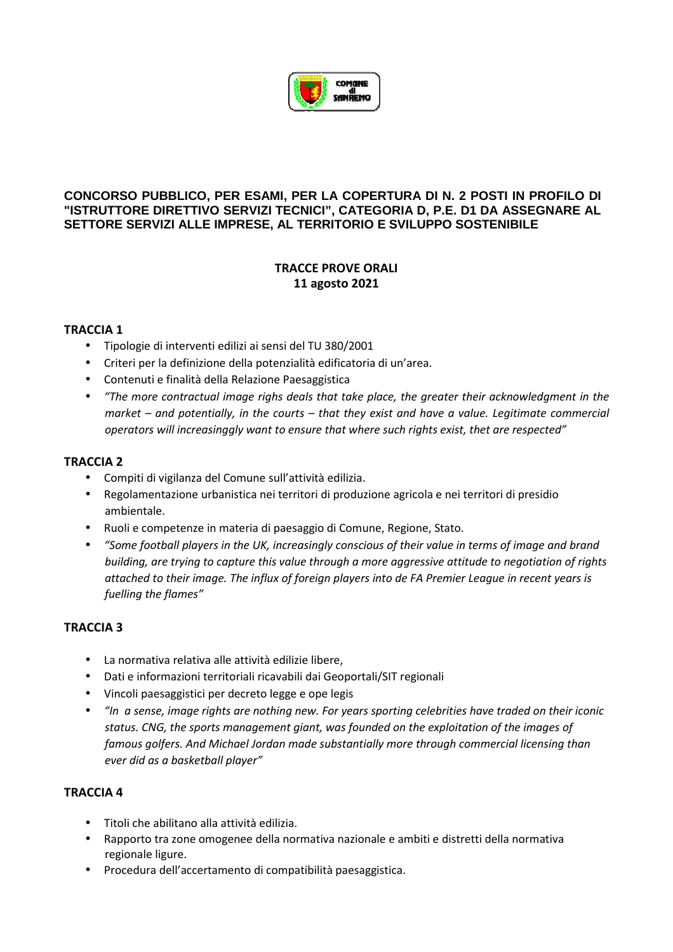

### **CONCORSO PUBBLICO, PER ESAMI, PER LA COPERTURA DI N. 2 POSTI IN PROFILO DI "ISTRUTTORE DIRETTIVO SERVIZI TECNICI", CATEGORIA D, P.E. D1 DA ASSEGNARE AL SETTORE SERVIZI ALLE IMPRESE, AL TERRITORIO E SVILUPPO SOSTENIBILE**

# **TRACCE PROVE ORALI 11 agosto 2021**

### **TRACCIA 1**

- Tipologie di interventi edilizi ai sensi del TU 380/2001
- Criteri per la definizione della potenzialità edificatoria di un'area.
- Contenuti e finalità della Relazione Paesaggistica
- *"The more contractual image righs deals that take place, the greater their acknowledgment in the market – and potentially, in the courts – that they exist and have a value. Legitimate commercial operators will increasinggly want to ensure that where such rights exist, thet are respected"*

### **TRACCIA 2**

- Compiti di vigilanza del Comune sull'attività edilizia.
- Regolamentazione urbanistica nei territori di produzione agricola e nei territori di presidio ambientale.
- Ruoli e competenze in materia di paesaggio di Comune, Regione, Stato.
- *"Some football players in the UK, increasingly conscious of their value in terms of image and brand building, are trying to capture this value through a more aggressive attitude to negotiation of rights attached to their image. The influx of foreign players into de FA Premier League in recent years is fuelling the flames"*

### **TRACCIA 3**

- La normativa relativa alle attività edilizie libere,
- Dati e informazioni territoriali ricavabili dai Geoportali/SIT regionali
- Vincoli paesaggistici per decreto legge e ope legis
- *"In a sense, image rights are nothing new. For years sporting celebrities have traded on their iconic status. CNG, the sports management giant, was founded on the exploitation of the images of famous golfers. And Michael Jordan made substantially more through commercial licensing than ever did as a basketball player"*

#### **TRACCIA 4**

- Titoli che abilitano alla attività edilizia.
- Rapporto tra zone omogenee della normativa nazionale e ambiti e distretti della normativa regionale ligure.
- Procedura dell'accertamento di compatibilità paesaggistica.